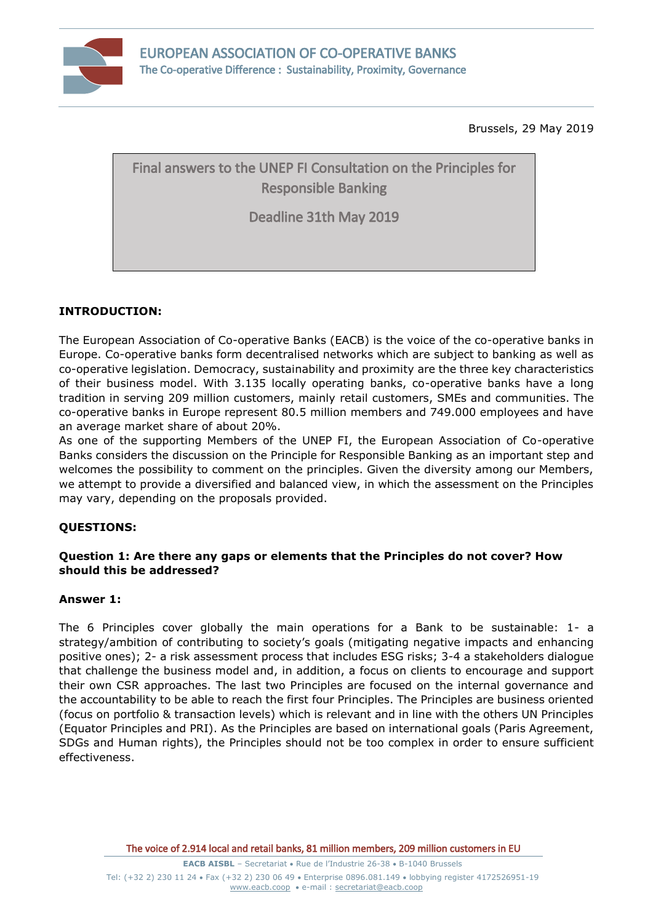

Brussels, 29 May 2019

# Final answers to the UNEP FI Consultation on the Principles for Responsible Banking

Deadline 31th May 2019

## **INTRODUCTION:**

The European Association of Co-operative Banks (EACB) is the voice of the co-operative banks in Europe. Co-operative banks form decentralised networks which are subject to banking as well as co-operative legislation. Democracy, sustainability and proximity are the three key characteristics of their business model. With 3.135 locally operating banks, co-operative banks have a long tradition in serving 209 million customers, mainly retail customers, SMEs and communities. The co-operative banks in Europe represent 80.5 million members and 749.000 employees and have an average market share of about 20%.

As one of the supporting Members of the UNEP FI, the European Association of Co-operative Banks considers the discussion on the Principle for Responsible Banking as an important step and welcomes the possibility to comment on the principles. Given the diversity among our Members, we attempt to provide a diversified and balanced view, in which the assessment on the Principles may vary, depending on the proposals provided.

## **QUESTIONS:**

## **Question 1: Are there any gaps or elements that the Principles do not cover? How should this be addressed?**

## **Answer 1:**

The 6 Principles cover globally the main operations for a Bank to be sustainable: 1- a strategy/ambition of contributing to society's goals (mitigating negative impacts and enhancing positive ones); 2- a risk assessment process that includes ESG risks; 3-4 a stakeholders dialogue that challenge the business model and, in addition, a focus on clients to encourage and support their own CSR approaches. The last two Principles are focused on the internal governance and the accountability to be able to reach the first four Principles. The Principles are business oriented (focus on portfolio & transaction levels) which is relevant and in line with the others UN Principles (Equator Principles and PRI). As the Principles are based on international goals (Paris Agreement, SDGs and Human rights), the Principles should not be too complex in order to ensure sufficient effectiveness.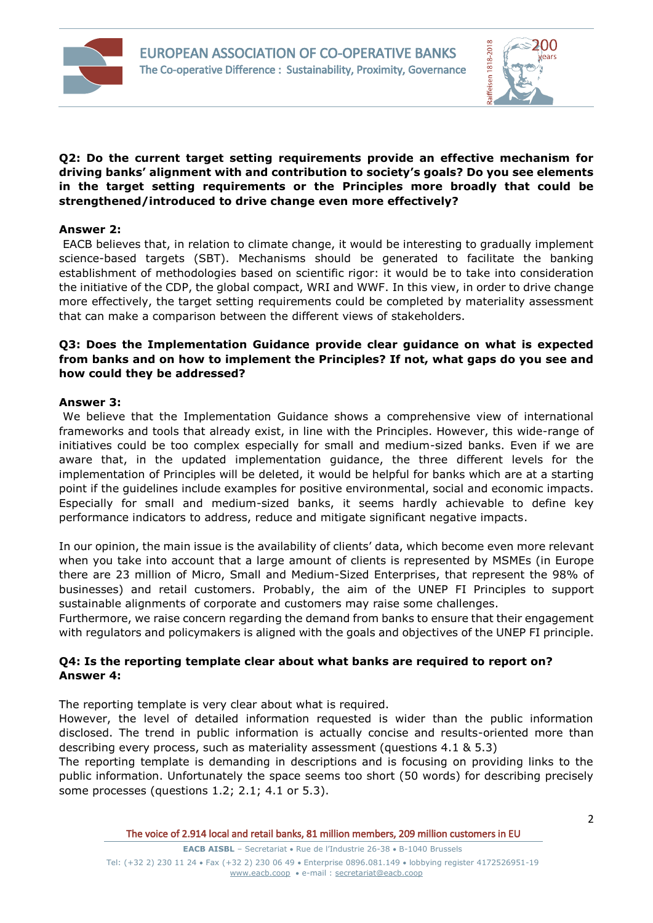



## **Q2: Do the current target setting requirements provide an effective mechanism for driving banks' alignment with and contribution to society's goals? Do you see elements in the target setting requirements or the Principles more broadly that could be strengthened/introduced to drive change even more effectively?**

## **Answer 2:**

EACB believes that, in relation to climate change, it would be interesting to gradually implement science-based targets (SBT). Mechanisms should be generated to facilitate the banking establishment of methodologies based on scientific rigor: it would be to take into consideration the initiative of the CDP, the global compact, WRI and WWF. In this view, in order to drive change more effectively, the target setting requirements could be completed by materiality assessment that can make a comparison between the different views of stakeholders.

## **Q3: Does the Implementation Guidance provide clear guidance on what is expected from banks and on how to implement the Principles? If not, what gaps do you see and how could they be addressed?**

#### **Answer 3:**

We believe that the Implementation Guidance shows a comprehensive view of international frameworks and tools that already exist, in line with the Principles. However, this wide-range of initiatives could be too complex especially for small and medium-sized banks. Even if we are aware that, in the updated implementation guidance, the three different levels for the implementation of Principles will be deleted, it would be helpful for banks which are at a starting point if the guidelines include examples for positive environmental, social and economic impacts. Especially for small and medium-sized banks, it seems hardly achievable to define key performance indicators to address, reduce and mitigate significant negative impacts.

In our opinion, the main issue is the availability of clients' data, which become even more relevant when you take into account that a large amount of clients is represented by MSMEs (in Europe there are 23 million of Micro, Small and Medium-Sized Enterprises, that represent the 98% of businesses) and retail customers. Probably, the aim of the UNEP FI Principles to support sustainable alignments of corporate and customers may raise some challenges.

Furthermore, we raise concern regarding the demand from banks to ensure that their engagement with regulators and policymakers is aligned with the goals and objectives of the UNEP FI principle.

## **Q4: Is the reporting template clear about what banks are required to report on? Answer 4:**

The reporting template is very clear about what is required.

However, the level of detailed information requested is wider than the public information disclosed. The trend in public information is actually concise and results-oriented more than describing every process, such as materiality assessment (questions 4.1 & 5.3)

The reporting template is demanding in descriptions and is focusing on providing links to the public information. Unfortunately the space seems too short (50 words) for describing precisely some processes (questions 1.2; 2.1; 4.1 or 5.3).